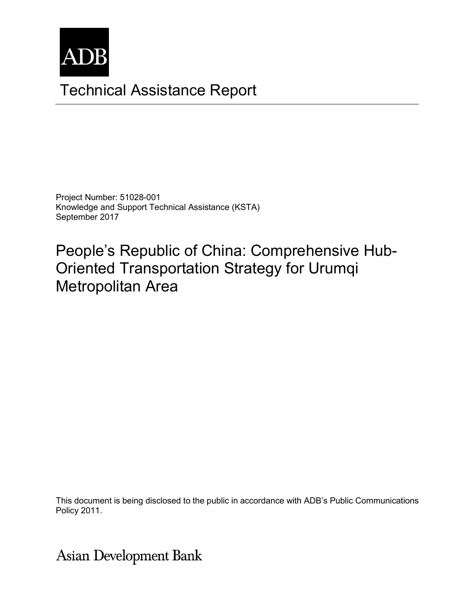

# Technical Assistance Report

Project Number: 51028-001 Knowledge and Support Technical Assistance (KSTA) September 2017

People's Republic of China: Comprehensive Hub-Oriented Transportation Strategy for Urumqi Metropolitan Area

 $T_{\text{SUSY}}$  expressed herein are those of the consultant and do not necessarily represent that  $T_{\text{SUSY}}$ This document is being disclosed to the public in accordance with ADB's Public Communications Policy 2011.

**Asian Development Bank**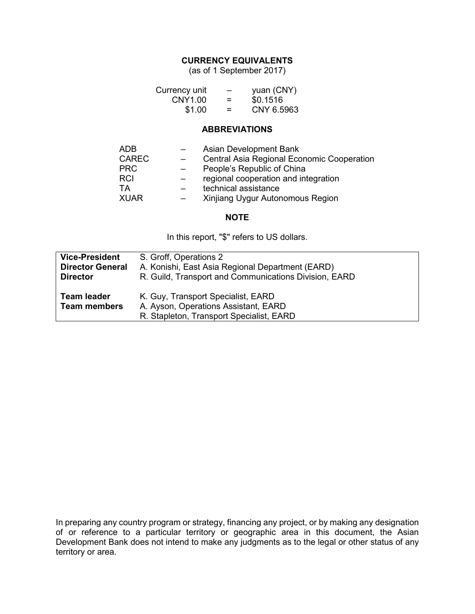#### **CURRENCY EQUIVALENTS**

(as of 1 September 2017)

| Currency unit | - | yuan (CNY) |
|---------------|---|------------|
| CNY1.00       | = | \$0.1516   |
| \$1.00        | = | CNY 6.5963 |

#### **ABBREVIATIONS**

| <b>ADB</b>   | Asian Development Bank                     |
|--------------|--------------------------------------------|
| <b>CAREC</b> | Central Asia Regional Economic Cooperation |
| <b>PRC</b>   | People's Republic of China                 |
| <b>RCI</b>   | regional cooperation and integration       |
| ТA           | technical assistance                       |
| <b>XUAR</b>  | Xinjiang Uygur Autonomous Region           |

#### **NOTE**

In this report, "\$" refers to US dollars.

| <b>Vice-President</b>                     | S. Groff, Operations 2                                                                                                 |
|-------------------------------------------|------------------------------------------------------------------------------------------------------------------------|
| <b>Director General</b>                   | A. Konishi, East Asia Regional Department (EARD)                                                                       |
| <b>Director</b>                           | R. Guild, Transport and Communications Division, EARD                                                                  |
| <b>Team leader</b><br><b>Team members</b> | K. Guy, Transport Specialist, EARD<br>A. Ayson, Operations Assistant, EARD<br>R. Stapleton, Transport Specialist, EARD |

In preparing any country program or strategy, financing any project, or by making any designation of or reference to a particular territory or geographic area in this document, the Asian Development Bank does not intend to make any judgments as to the legal or other status of any territory or area.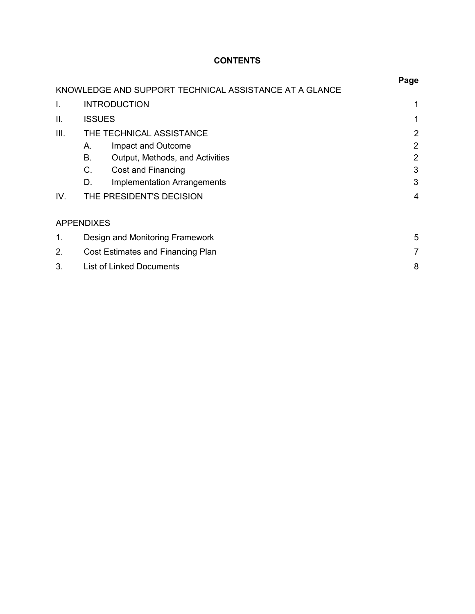# **CONTENTS**

|      |                                                        | Page           |  |
|------|--------------------------------------------------------|----------------|--|
|      | KNOWLEDGE AND SUPPORT TECHNICAL ASSISTANCE AT A GLANCE |                |  |
| Ι.   | <b>INTRODUCTION</b>                                    | 1              |  |
| II.  | <b>ISSUES</b>                                          |                |  |
| III. | THE TECHNICAL ASSISTANCE                               | 2              |  |
|      | Impact and Outcome<br>Α.                               | $\overline{2}$ |  |
|      | В.<br>Output, Methods, and Activities                  | 2              |  |
|      | C.<br>Cost and Financing                               | 3              |  |
|      | D.<br><b>Implementation Arrangements</b>               | 3              |  |
| IV.  | THE PRESIDENT'S DECISION                               |                |  |
|      | <b>APPENDIXES</b>                                      |                |  |
| 1.   | Design and Monitoring Framework                        |                |  |
| 2.   | Cost Estimates and Financing Plan                      |                |  |
| 3.   | List of Linked Documents                               |                |  |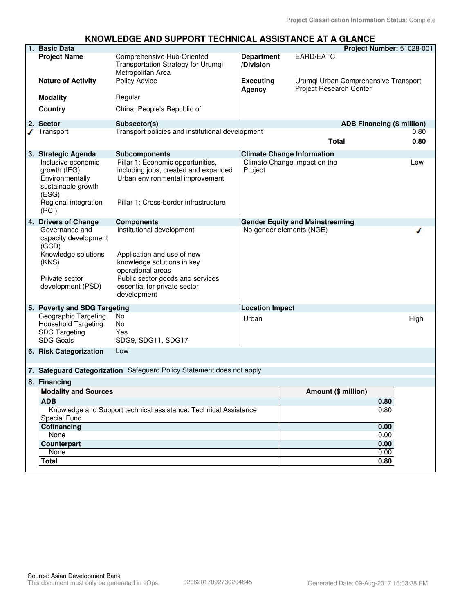#### **KNOWLEDGE AND SUPPORT TECHNICAL ASSISTANCE AT A GLANCE**

| 1. Basic Data                                                                                                                                |                                                                                                                                                                                               |                                |                                                                        | Project Number: 51028-001 |
|----------------------------------------------------------------------------------------------------------------------------------------------|-----------------------------------------------------------------------------------------------------------------------------------------------------------------------------------------------|--------------------------------|------------------------------------------------------------------------|---------------------------|
| <b>Project Name</b>                                                                                                                          | Comprehensive Hub-Oriented<br>Transportation Strategy for Urumqi<br>Metropolitan Area                                                                                                         | <b>Department</b><br>/Division | EARD/EATC                                                              |                           |
| <b>Nature of Activity</b>                                                                                                                    | Policy Advice                                                                                                                                                                                 | <b>Executing</b><br>Agency     | Urumqi Urban Comprehensive Transport<br><b>Project Research Center</b> |                           |
| <b>Modality</b>                                                                                                                              | Regular                                                                                                                                                                                       |                                |                                                                        |                           |
| Country                                                                                                                                      | China, People's Republic of                                                                                                                                                                   |                                |                                                                        |                           |
| 2. Sector                                                                                                                                    | Subsector(s)                                                                                                                                                                                  |                                | <b>ADB Financing (\$ million)</b>                                      |                           |
| Transport                                                                                                                                    | Transport policies and institutional development                                                                                                                                              |                                | <b>Total</b>                                                           | 0.80<br>0.80              |
| 3. Strategic Agenda<br>Inclusive economic<br>growth (IEG)<br>Environmentally<br>sustainable growth<br>(ESG)<br>Regional integration<br>(RCI) | <b>Subcomponents</b><br>Pillar 1: Economic opportunities,<br>including jobs, created and expanded<br>Urban environmental improvement<br>Pillar 1: Cross-border infrastructure                 | Project                        | <b>Climate Change Information</b><br>Climate Change impact on the      | Low                       |
| 4. Drivers of Change                                                                                                                         | <b>Components</b>                                                                                                                                                                             |                                | <b>Gender Equity and Mainstreaming</b>                                 |                           |
| Governance and<br>capacity development<br>(GCD)<br>Knowledge solutions<br>(KNS)<br>Private sector<br>development (PSD)                       | Institutional development<br>Application and use of new<br>knowledge solutions in key<br>operational areas<br>Public sector goods and services<br>essential for private sector<br>development |                                | No gender elements (NGE)                                               |                           |
| 5. Poverty and SDG Targeting                                                                                                                 |                                                                                                                                                                                               | <b>Location Impact</b>         |                                                                        |                           |
| Geographic Targeting<br><b>Household Targeting</b><br><b>SDG Targeting</b><br><b>SDG Goals</b>                                               | No<br>No<br>Yes<br>SDG9, SDG11, SDG17                                                                                                                                                         | Urban                          |                                                                        | High                      |
| 6. Risk Categorization                                                                                                                       | Low                                                                                                                                                                                           |                                |                                                                        |                           |
|                                                                                                                                              | 7. Safeguard Categorization Safeguard Policy Statement does not apply                                                                                                                         |                                |                                                                        |                           |
| 8. Financing                                                                                                                                 |                                                                                                                                                                                               |                                |                                                                        |                           |
| <b>Modality and Sources</b>                                                                                                                  |                                                                                                                                                                                               |                                | Amount (\$ million)                                                    |                           |
| <b>ADB</b>                                                                                                                                   |                                                                                                                                                                                               |                                |                                                                        | 0.80                      |
| Knowledge and Support technical assistance: Technical Assistance<br>Special Fund                                                             |                                                                                                                                                                                               |                                |                                                                        | 0.80                      |
| Cofinancing                                                                                                                                  |                                                                                                                                                                                               |                                |                                                                        | 0.00                      |
| None                                                                                                                                         |                                                                                                                                                                                               |                                |                                                                        | 0.00                      |
| <b>Counterpart</b><br>None                                                                                                                   |                                                                                                                                                                                               |                                |                                                                        | 0.00<br>0.00              |
| <b>Total</b>                                                                                                                                 |                                                                                                                                                                                               |                                |                                                                        | 0.80                      |
|                                                                                                                                              |                                                                                                                                                                                               |                                |                                                                        |                           |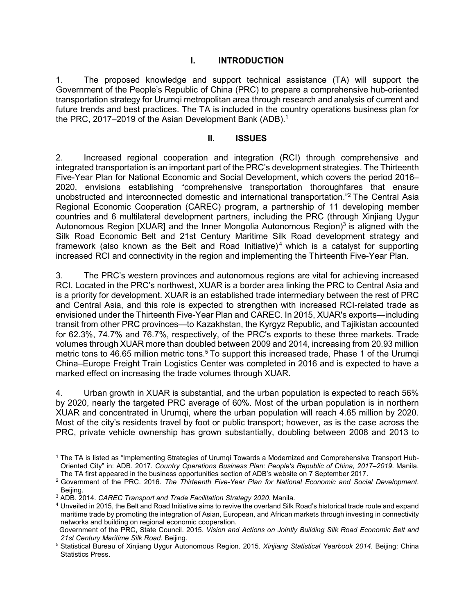### **I. INTRODUCTION**

1. The proposed knowledge and support technical assistance (TA) will support the Government of the People's Republic of China (PRC) to prepare a comprehensive hub-oriented transportation strategy for Urumqi metropolitan area through research and analysis of current and future trends and best practices. The TA is included in the country operations business plan for the PRC, 2017–2019 of the Asian Development Bank (ADB).<sup>1</sup>

#### **II. ISSUES**

2. Increased regional cooperation and integration (RCI) through comprehensive and integrated transportation is an important part of the PRC's development strategies. The Thirteenth Five-Year Plan for National Economic and Social Development, which covers the period 2016– 2020, envisions establishing "comprehensive transportation thoroughfares that ensure unobstructed and interconnected domestic and international transportation."<sup>2</sup> The Central Asia Regional Economic Cooperation (CAREC) program, a partnership of 11 developing member countries and 6 multilateral development partners, including the PRC (through Xinjiang Uygur Autonomous Region [XUAR] and the Inner Mongolia Autonomous Region) $3$  is aligned with the Silk Road Economic Belt and 21st Century Maritime Silk Road development strategy and framework (also known as the Belt and Road Initiative)<sup>4</sup> which is a catalyst for supporting increased RCI and connectivity in the region and implementing the Thirteenth Five-Year Plan.

3. The PRC's western provinces and autonomous regions are vital for achieving increased RCI. Located in the PRC's northwest, XUAR is a border area linking the PRC to Central Asia and is a priority for development. XUAR is an established trade intermediary between the rest of PRC and Central Asia, and this role is expected to strengthen with increased RCI-related trade as envisioned under the Thirteenth Five-Year Plan and CAREC. In 2015, XUAR's exports—including transit from other PRC provinces—to Kazakhstan, the Kyrgyz Republic, and Tajikistan accounted for 62.3%, 74.7% and 76.7%, respectively, of the PRC's exports to these three markets. Trade volumes through XUAR more than doubled between 2009 and 2014, increasing from 20.93 million metric tons to 46.65 million metric tons.<sup>5</sup> To support this increased trade, Phase 1 of the Urumqi China–Europe Freight Train Logistics Center was completed in 2016 and is expected to have a marked effect on increasing the trade volumes through XUAR.

4. Urban growth in XUAR is substantial, and the urban population is expected to reach 56% by 2020, nearly the targeted PRC average of 60%. Most of the urban population is in northern XUAR and concentrated in Urumqi, where the urban population will reach 4.65 million by 2020. Most of the city's residents travel by foot or public transport; however, as is the case across the PRC, private vehicle ownership has grown substantially, doubling between 2008 and 2013 to

 1 The TA is listed as "Implementing Strategies of Urumqi Towards a Modernized and Comprehensive Transport Hub-Oriented City" in: ADB. 2017. *Country Operations Business Plan: People's Republic of China, 2017–2019*. Manila. The TA first appeared in the business opportunities section of ADB's website on 7 September 2017.

<sup>2</sup> Government of the PRC. 2016. *The Thirteenth Five-Year Plan for National Economic and Social Development*. Beijing.

<sup>3</sup> ADB. 2014. *CAREC Transport and Trade Facilitation Strategy 2020*. Manila.

<sup>4</sup> Unveiled in 2015, the Belt and Road Initiative aims to revive the overland Silk Road's historical trade route and expand maritime trade by promoting the integration of Asian, European, and African markets through investing in connectivity networks and building on regional economic cooperation.

Government of the PRC, State Council. 2015. *Vision and Actions on Jointly Building Silk Road Economic Belt and 21st Century Maritime Silk Road*. Beijing.

<sup>5</sup> Statistical Bureau of Xinjiang Uygur Autonomous Region. 2015. *Xinjiang Statistical Yearbook 2014*. Beijing: China Statistics Press.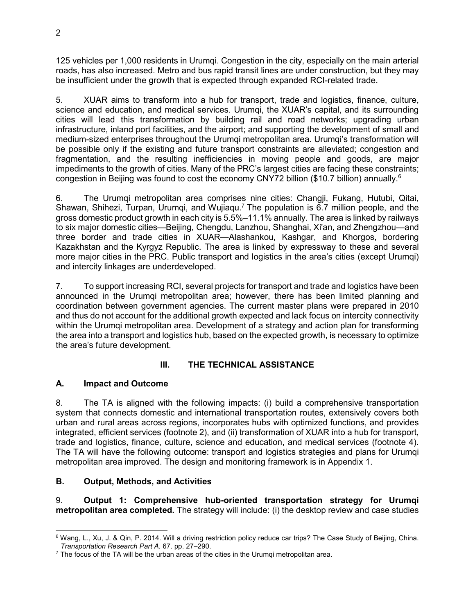125 vehicles per 1,000 residents in Urumqi. Congestion in the city, especially on the main arterial roads, has also increased. Metro and bus rapid transit lines are under construction, but they may be insufficient under the growth that is expected through expanded RCI-related trade.

5. XUAR aims to transform into a hub for transport, trade and logistics, finance, culture, science and education, and medical services. Urumqi, the XUAR's capital, and its surrounding cities will lead this transformation by building rail and road networks; upgrading urban infrastructure, inland port facilities, and the airport; and supporting the development of small and medium-sized enterprises throughout the Urumqi metropolitan area. Urumqi's transformation will be possible only if the existing and future transport constraints are alleviated; congestion and fragmentation, and the resulting inefficiencies in moving people and goods, are major impediments to the growth of cities. Many of the PRC's largest cities are facing these constraints; congestion in Beijing was found to cost the economy CNY72 billion (\$10.7 billion) annually.<sup>6</sup>

6. The Urumqi metropolitan area comprises nine cities: Changji, Fukang, Hutubi, Qitai, Shawan, Shihezi, Turpan, Urumqi, and Wujiaqu.<sup>7</sup> The population is 6.7 million people, and the gross domestic product growth in each city is 5.5%–11.1% annually. The area is linked by railways to six major domestic cities—Beijing, Chengdu, Lanzhou, Shanghai, Xi'an, and Zhengzhou—and three border and trade cities in XUAR—Alashankou, Kashgar, and Khorgos, bordering Kazakhstan and the Kyrgyz Republic. The area is linked by expressway to these and several more major cities in the PRC. Public transport and logistics in the area's cities (except Urumqi) and intercity linkages are underdeveloped.

7. To support increasing RCI, several projects for transport and trade and logistics have been announced in the Urumqi metropolitan area; however, there has been limited planning and coordination between government agencies. The current master plans were prepared in 2010 and thus do not account for the additional growth expected and lack focus on intercity connectivity within the Urumqi metropolitan area. Development of a strategy and action plan for transforming the area into a transport and logistics hub, based on the expected growth, is necessary to optimize the area's future development.

# **III. THE TECHNICAL ASSISTANCE**

# **A. Impact and Outcome**

8. The TA is aligned with the following impacts: (i) build a comprehensive transportation system that connects domestic and international transportation routes, extensively covers both urban and rural areas across regions, incorporates hubs with optimized functions, and provides integrated, efficient services (footnote 2), and (ii) transformation of XUAR into a hub for transport, trade and logistics, finance, culture, science and education, and medical services (footnote 4). The TA will have the following outcome: transport and logistics strategies and plans for Urumqi metropolitan area improved. The design and monitoring framework is in Appendix 1.

# **B. Output, Methods, and Activities**

9. **Output 1: Comprehensive hub-oriented transportation strategy for Urumqi metropolitan area completed.** The strategy will include: (i) the desktop review and case studies

 <sup>6</sup> Wang, L., Xu, J. & Qin, P. 2014. Will a driving restriction policy reduce car trips? The Case Study of Beijing, China. *Transportation Research Part A*. 67. pp. 27–290.

 $<sup>7</sup>$  The focus of the TA will be the urban areas of the cities in the Urumqi metropolitan area.</sup>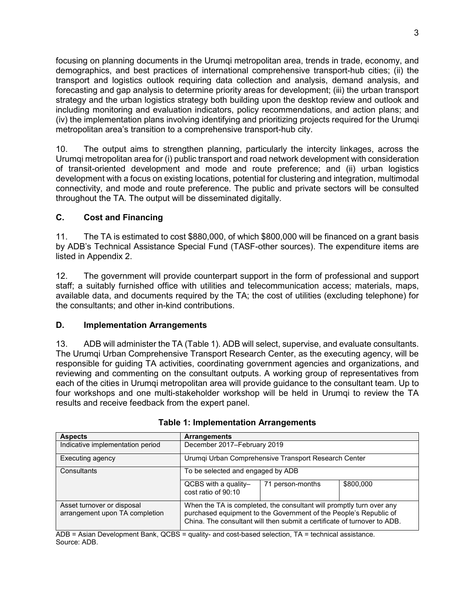focusing on planning documents in the Urumqi metropolitan area, trends in trade, economy, and demographics, and best practices of international comprehensive transport-hub cities; (ii) the transport and logistics outlook requiring data collection and analysis, demand analysis, and forecasting and gap analysis to determine priority areas for development; (iii) the urban transport strategy and the urban logistics strategy both building upon the desktop review and outlook and including monitoring and evaluation indicators, policy recommendations, and action plans; and (iv) the implementation plans involving identifying and prioritizing projects required for the Urumqi metropolitan area's transition to a comprehensive transport-hub city.

10. The output aims to strengthen planning, particularly the intercity linkages, across the Urumqi metropolitan area for (i) public transport and road network development with consideration of transit-oriented development and mode and route preference; and (ii) urban logistics development with a focus on existing locations, potential for clustering and integration, multimodal connectivity, and mode and route preference. The public and private sectors will be consulted throughout the TA. The output will be disseminated digitally.

# **C. Cost and Financing**

11. The TA is estimated to cost \$880,000, of which \$800,000 will be financed on a grant basis by ADB's Technical Assistance Special Fund (TASF-other sources). The expenditure items are listed in Appendix 2.

12. The government will provide counterpart support in the form of professional and support staff; a suitably furnished office with utilities and telecommunication access; materials, maps, available data, and documents required by the TA; the cost of utilities (excluding telephone) for the consultants; and other in-kind contributions.

#### **D. Implementation Arrangements**

13. ADB will administer the TA (Table 1). ADB will select, supervise, and evaluate consultants. The Urumqi Urban Comprehensive Transport Research Center, as the executing agency, will be responsible for guiding TA activities, coordinating government agencies and organizations, and reviewing and commenting on the consultant outputs. A working group of representatives from each of the cities in Urumqi metropolitan area will provide guidance to the consultant team. Up to four workshops and one multi-stakeholder workshop will be held in Urumqi to review the TA results and receive feedback from the expert panel.

| <b>Aspects</b>                                               | <b>Arrangements</b>                                                                                                                                                                                                   |                  |           |
|--------------------------------------------------------------|-----------------------------------------------------------------------------------------------------------------------------------------------------------------------------------------------------------------------|------------------|-----------|
| Indicative implementation period                             | December 2017-February 2019                                                                                                                                                                                           |                  |           |
| Executing agency                                             | Urumqi Urban Comprehensive Transport Research Center                                                                                                                                                                  |                  |           |
| Consultants                                                  | To be selected and engaged by ADB                                                                                                                                                                                     |                  |           |
|                                                              | QCBS with a quality-<br>cost ratio of 90:10                                                                                                                                                                           | 71 person-months | \$800,000 |
| Asset turnover or disposal<br>arrangement upon TA completion | When the TA is completed, the consultant will promptly turn over any<br>purchased equipment to the Government of the People's Republic of<br>China. The consultant will then submit a certificate of turnover to ADB. |                  |           |

**Table 1: Implementation Arrangements** 

ADB = Asian Development Bank, QCBS = quality- and cost-based selection, TA = technical assistance. Source: ADB.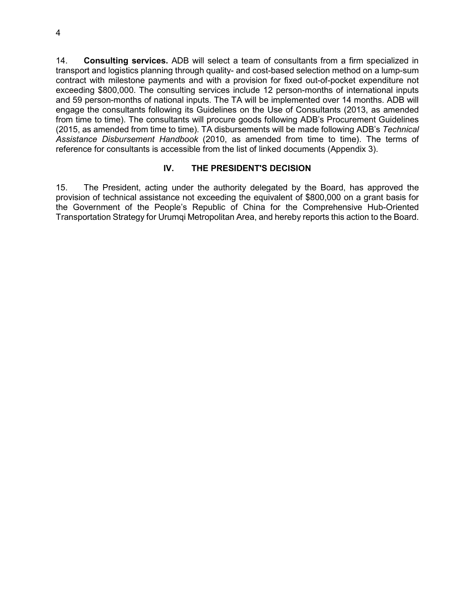14. **Consulting services.** ADB will select a team of consultants from a firm specialized in transport and logistics planning through quality- and cost-based selection method on a lump-sum contract with milestone payments and with a provision for fixed out-of-pocket expenditure not exceeding \$800,000. The consulting services include 12 person-months of international inputs and 59 person-months of national inputs. The TA will be implemented over 14 months. ADB will engage the consultants following its Guidelines on the Use of Consultants (2013, as amended from time to time). The consultants will procure goods following ADB's Procurement Guidelines (2015, as amended from time to time). TA disbursements will be made following ADB's *Technical Assistance Disbursement Handbook* (2010, as amended from time to time). The terms of reference for consultants is accessible from the list of linked documents (Appendix 3).

### **IV. THE PRESIDENT'S DECISION**

15. The President, acting under the authority delegated by the Board, has approved the provision of technical assistance not exceeding the equivalent of \$800,000 on a grant basis for the Government of the People's Republic of China for the Comprehensive Hub-Oriented Transportation Strategy for Urumqi Metropolitan Area, and hereby reports this action to the Board.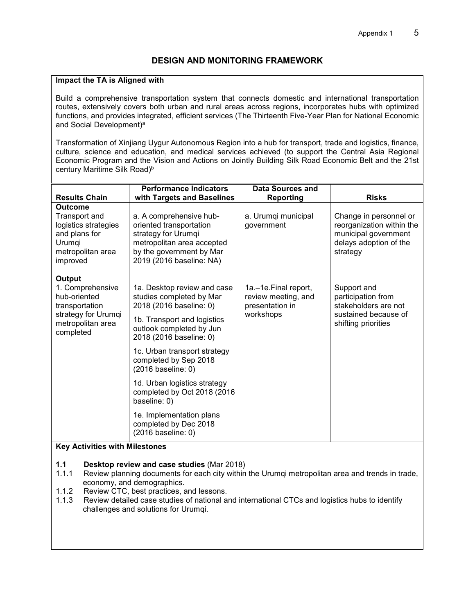### **DESIGN AND MONITORING FRAMEWORK**

#### **Impact the TA is Aligned with**

Build a comprehensive transportation system that connects domestic and international transportation routes, extensively covers both urban and rural areas across regions, incorporates hubs with optimized functions, and provides integrated, efficient services (The Thirteenth Five-Year Plan for National Economic and Social Development)<sup>a</sup>

Transformation of Xinjiang Uygur Autonomous Region into a hub for transport, trade and logistics, finance, culture, science and education, and medical services achieved (to support the Central Asia Regional Economic Program and the Vision and Actions on Jointly Building Silk Road Economic Belt and the 21st century Maritime Silk Road)<sup>b</sup>

| <b>Results Chain</b>                                                                                                  | <b>Performance Indicators</b><br>with Targets and Baselines                                                                                                              | <b>Data Sources and</b><br><b>Reporting</b>                                 | <b>Risks</b>                                                                                                      |
|-----------------------------------------------------------------------------------------------------------------------|--------------------------------------------------------------------------------------------------------------------------------------------------------------------------|-----------------------------------------------------------------------------|-------------------------------------------------------------------------------------------------------------------|
| <b>Outcome</b><br>Transport and<br>logistics strategies<br>and plans for<br>Urumqi<br>metropolitan area<br>improved   | a. A comprehensive hub-<br>oriented transportation<br>strategy for Urumqi<br>metropolitan area accepted<br>by the government by Mar<br>2019 (2016 baseline: NA)          | a. Urumqi municipal<br>government                                           | Change in personnel or<br>reorganization within the<br>municipal government<br>delays adoption of the<br>strategy |
| Output<br>1. Comprehensive<br>hub-oriented<br>transportation<br>strategy for Urumqi<br>metropolitan area<br>completed | 1a. Desktop review and case<br>studies completed by Mar<br>2018 (2016 baseline: 0)<br>1b. Transport and logistics<br>outlook completed by Jun<br>2018 (2016 baseline: 0) | 1a.–1e.Final report,<br>review meeting, and<br>presentation in<br>workshops | Support and<br>participation from<br>stakeholders are not<br>sustained because of<br>shifting priorities          |
|                                                                                                                       | 1c. Urban transport strategy<br>completed by Sep 2018<br>(2016 baseline: 0)                                                                                              |                                                                             |                                                                                                                   |
|                                                                                                                       | 1d. Urban logistics strategy<br>completed by Oct 2018 (2016)<br>baseline: 0)                                                                                             |                                                                             |                                                                                                                   |
|                                                                                                                       | 1e. Implementation plans<br>completed by Dec 2018<br>(2016 baseline: 0)                                                                                                  |                                                                             |                                                                                                                   |

#### **Key Activities with Milestones**

- **1.1 Desktop review and case studies** (Mar 2018)
- Review planning documents for each city within the Urumqi metropolitan area and trends in trade, economy, and demographics.
- 1.1.2 Review CTC, best practices, and lessons.
- 1.1.3 Review detailed case studies of national and international CTCs and logistics hubs to identify challenges and solutions for Urumqi.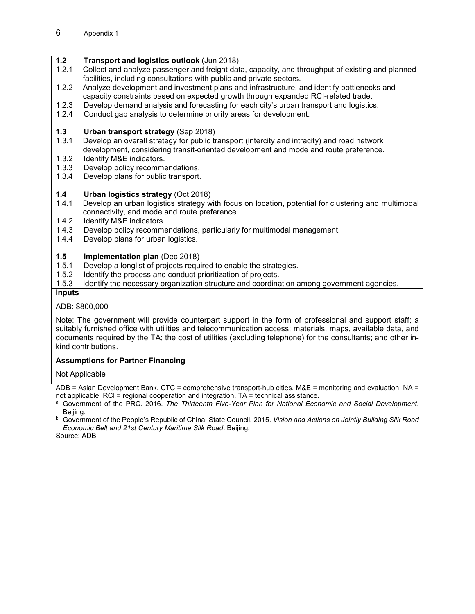# **1.2 Transport and logistics outlook** (Jun 2018)<br>**1.2.1** Collect and analyze passenger and freight dat

- Collect and analyze passenger and freight data, capacity, and throughput of existing and planned facilities, including consultations with public and private sectors.
- 1.2.2 Analyze development and investment plans and infrastructure, and identify bottlenecks and capacity constraints based on expected growth through expanded RCI-related trade.
- 1.2.3 Develop demand analysis and forecasting for each city's urban transport and logistics.
- 1.2.4 Conduct gap analysis to determine priority areas for development.

# **1.3 Urban transport strategy** (Sep 2018)<br>**1.3.1** Develop an overall strategy for public tr

- Develop an overall strategy for public transport (intercity and intracity) and road network development, considering transit-oriented development and mode and route preference.
- 1.3.2 Identify M&E indicators.
- 1.3.3 Develop policy recommendations.
- 1.3.4 Develop plans for public transport.

# **1.4 Urban logistics strategy** (Oct 2018)

- 1.4.1 Develop an urban logistics strategy with focus on location, potential for clustering and multimodal connectivity, and mode and route preference.
- 1.4.2 Identify M&E indicators.<br>1.4.3 Develop policy recomme
- Develop policy recommendations, particularly for multimodal management.
- 1.4.4 Develop plans for urban logistics.

# **1.5 Implementation plan** (Dec 2018)

- 1.5.1 Develop a longlist of projects required to enable the strategies.
- 1.5.2 Identify the process and conduct prioritization of projects.
- 1.5.3 Identify the necessary organization structure and coordination among government agencies.

#### **Inputs**

#### ADB: \$800,000

Note: The government will provide counterpart support in the form of professional and support staff; a suitably furnished office with utilities and telecommunication access; materials, maps, available data, and documents required by the TA; the cost of utilities (excluding telephone) for the consultants; and other inkind contributions.

#### **Assumptions for Partner Financing**

#### Not Applicable

ADB = Asian Development Bank, CTC = comprehensive transport-hub cities, M&E = monitoring and evaluation, NA = not applicable, RCI = regional cooperation and integration, TA = technical assistance.

<sup>a</sup> Government of the PRC. 2016. *The Thirteenth Five-Year Plan for National Economic and Social Development.* Beijing.

<sup>b</sup> Government of the People's Republic of China, State Council. 2015. *Vision and Actions on Jointly Building Silk Road Economic Belt and 21st Century Maritime Silk Road*. Beijing. Source: ADB.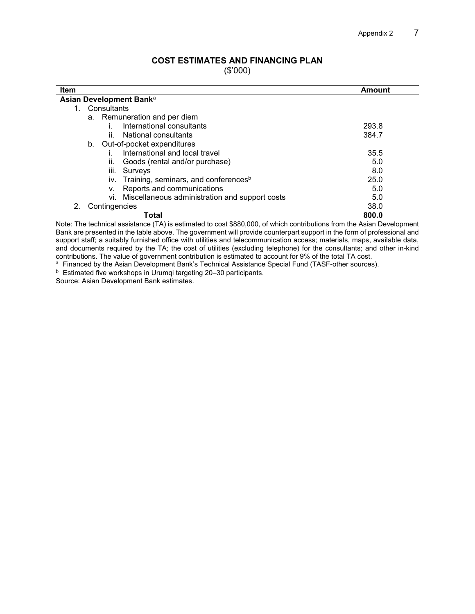#### **COST ESTIMATES AND FINANCING PLAN**

(\$'000)

| Item                                                 | Amount |  |  |  |
|------------------------------------------------------|--------|--|--|--|
| Asian Development Bank <sup>a</sup>                  |        |  |  |  |
| Consultants<br>1.                                    |        |  |  |  |
| a. Remuneration and per diem                         |        |  |  |  |
| International consultants                            | 293.8  |  |  |  |
| National consultants<br>Ĥ.                           | 384.7  |  |  |  |
| b. Out-of-pocket expenditures                        |        |  |  |  |
| International and local travel                       | 35.5   |  |  |  |
| Goods (rental and/or purchase)<br>ii.                | 5.0    |  |  |  |
| iii.<br>Surveys                                      | 8.0    |  |  |  |
| iv. Training, seminars, and conferences <sup>b</sup> | 25.0   |  |  |  |
| Reports and communications<br>۷.                     | 5.0    |  |  |  |
| vi. Miscellaneous administration and support costs   | 5.0    |  |  |  |
| Contingencies<br>2.                                  | 38.0   |  |  |  |
| Total                                                | 800.0  |  |  |  |

Note: The technical assistance (TA) is estimated to cost \$880,000, of which contributions from the Asian Development Bank are presented in the table above. The government will provide counterpart support in the form of professional and support staff; a suitably furnished office with utilities and telecommunication access; materials, maps, available data, and documents required by the TA; the cost of utilities (excluding telephone) for the consultants; and other in-kind contributions. The value of government contribution is estimated to account for 9% of the total TA cost.

a Financed by the Asian Development Bank's Technical Assistance Special Fund (TASF-other sources).

b Estimated five workshops in Urumqi targeting 20-30 participants.

Source: Asian Development Bank estimates.